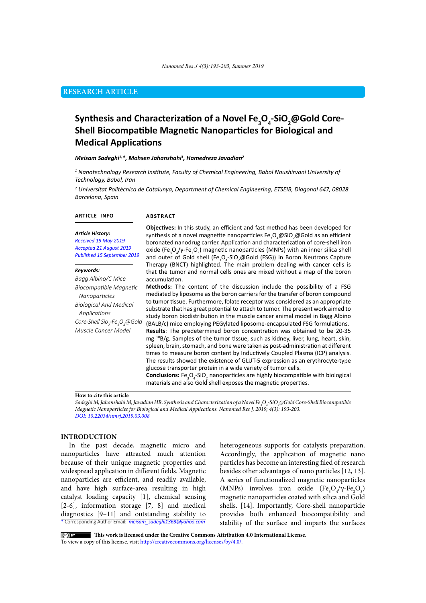# **RESEARCH ARTICLE**

# **Synthesis and Characterization of a Novel Fe<sup>3</sup> O4 -SiO2 @Gold Core-Shell Biocompatible Magnetic Nanoparticles for Biological and Medical Applications**

#### *Meisam Sadeghi1,\*, Mohsen Jahanshahi1 , Hamedreza Javadian2*

*1 Nanotechnology Research Institute, Faculty of Chemical Engineering, Babol Noushirvani University of Technology, Babol, Iran*

*2 Universitat Politècnica de Catalunya, Department of Chemical Engineering, ETSEIB, Diagonal 647, 08028 Barcelona, Spain*

#### **ARTICLE INFO**

#### **ABSTRACT**

*Article History: Received 19 May 2019 Accepted 21 August 2019 Published 15 September 2019*

#### *Keywords:*

*Bagg Albino/C Mice Biocompatible Magnetic Nanoparticles Biological And Medical Applications Core-Shell Sio2 -Fe3 O4 @Gold Muscle Cancer Model*

**Objectives:** In this study, an efficient and fast method has been developed for synthesis of a novel magnetite nanoparticles  $\mathsf{Fe_{3}O_{4}@SiO_{2}@Gold}$  as an efficient boronated nanodrug carrier. Application and characterization of core-shell iron oxide (Fe<sub>3</sub>O<sub>4</sub>/γ-Fe<sub>2</sub>O<sub>3</sub>) magnetic nanoparticles (MNPs) with an inner silica shell and outer of Gold shell (Fe<sub>3</sub>O<sub>4</sub>-SiO<sub>2</sub>@Gold (FSG)) in Boron Neutrons Capture Therapy (BNCT) highlighted. The main problem dealing with cancer cells is that the tumor and normal cells ones are mixed without a map of the boron accumulation.

**Methods:** The content of the discussion include the possibility of a FSG mediated by liposome as the boron carriers for the transfer of boron compound to tumor tissue. Furthermore, folate receptor was considered as an appropriate substrate that has great potential to attach to tumor. The present work aimed to study boron biodistribution in the muscle cancer animal model in Bagg Albino (BALB/c) mice employing PEGylated liposome-encapsulated FSG formulations. **Results**: The predetermined boron concentration was obtained to be 20-35 mg 10B/g. Samples of the tumor tissue, such as kidney, liver, lung, heart, skin, spleen, brain, stomach, and bone were taken as post-administration at different times to measure boron content by Inductively Coupled Plasma (ICP) analysis. The results showed the existence of GLUT-5 expression as an erythrocyte-type glucose transporter protein in a wide variety of tumor cells. **Conclusions:** Fe<sub>3</sub>O<sub>4</sub>-SiO<sub>2</sub> nanoparticles are highly biocompatible with biological materials and also Gold shell exposes the magnetic properties.

#### **How to cite this article**

*Sadeghi M, Jahanshahi M, Javadian HR. Synthesis and Characterization of a Novel Fe3 O4 -SiO2 @Gold Core-Shell Biocompatible Magnetic Nanoparticles for Biological and Medical Applications. Nanomed Res J, 2019; 4(3): 193-203. DOI: 10.22034/nmrj.2019.03.008*

### **INTRODUCTION**

\* Corresponding Author Email: *meisam\_sadeghi1363@yahoo.com* In the past decade, magnetic micro and nanoparticles have attracted much attention because of their unique magnetic properties and widespread application in different fields. Magnetic nanoparticles are efficient, and readily available, and have high surface-area resulting in high catalyst loading capacity [1], chemical sensing [2-6], information storage [7, 8] and medical diagnostics [9–11] and outstanding stability to

heterogeneous supports for catalysts preparation. Accordingly, the application of magnetic nano particles has become an interesting filed of research besides other advantages of nano particles [12, 13]. A series of functionalized magnetic nanoparticles (MNPs) involves iron oxide  $(Fe<sub>3</sub>O<sub>4</sub>/\gamma-Fe<sub>2</sub>O<sub>3</sub>)$ magnetic nanoparticles coated with silica and Gold shells. [14]. Importantly, Core-shell nanoparticle provides both enhanced biocompatibility and stability of the surface and imparts the surfaces

 **This work is licensed under the Creative Commons Attribution 4.0 International License.** To view a copy of this license, visit<http://creativecommons.org/licenses/by/4.0/.>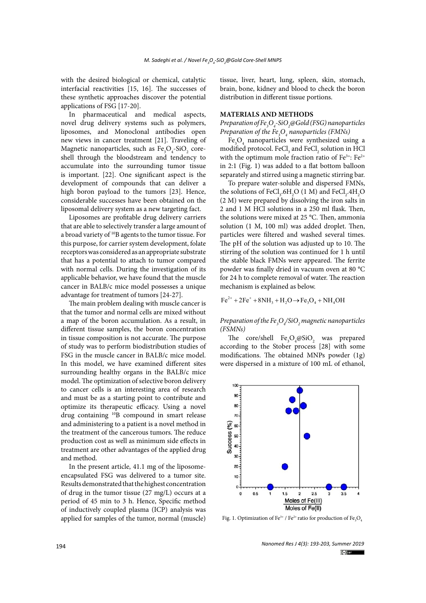with the desired biological or chemical, catalytic interfacial reactivities [15, 16]. The successes of these synthetic approaches discover the potential applications of FSG [17-20].

In pharmaceutical and medical aspects, novel drug delivery systems such as polymers, liposomes, and Monoclonal antibodies open new views in cancer treatment [21]. Traveling of Magnetic nanoparticles, such as  $\text{Fe}_{3}\text{O}_{4}\text{-}\text{SiO}_{2}$  coreshell through the bloodstream and tendency to accumulate into the surrounding tumor tissue is important. [22]. One significant aspect is the development of compounds that can deliver a high boron payload to the tumors [23]. Hence, considerable successes have been obtained on the liposomal delivery system as a new targeting fact.

Liposomes are profitable drug delivery carriers that are able to selectively transfer a large amount of a broad variety of 10B agents to the tumor tissue. For this purpose, for carrier system development, folate receptors was considered as an appropriate substrate that has a potential to attach to tumor compared with normal cells. During the investigation of its applicable behavior, we have found that the muscle cancer in BALB/c mice model possesses a unique advantage for treatment of tumors [24-27].

The main problem dealing with muscle cancer is that the tumor and normal cells are mixed without a map of the boron accumulation. As a result, in different tissue samples, the boron concentration in tissue composition is not accurate. The purpose of study was to perform biodistribution studies of FSG in the muscle cancer in BALB/c mice model. In this model, we have examined different sites surrounding healthy organs in the BALB/c mice model. The optimization of selective boron delivery to cancer cells is an interesting area of research and must be as a starting point to contribute and optimize its therapeutic efficacy. Using a novel drug containing 10B compound in smart release and administering to a patient is a novel method in the treatment of the cancerous tumors. The reduce production cost as well as minimum side effects in treatment are other advantages of the applied drug and method.

In the present article, 41.1 mg of the liposomeencapsulated FSG was delivered to a tumor site. Results demonstrated that the highest concentration of drug in the tumor tissue (27 mg/L) occurs at a period of 45 min to 3 h. Hence, Specific method of inductively coupled plasma (ICP) analysis was applied for samples of the tumor, normal (muscle) tissue, liver, heart, lung, spleen, skin, stomach, brain, bone, kidney and blood to check the boron distribution in different tissue portions.

# **MATERIALS AND METHODS**

*Preparation of Fe3 O4 -SiO2 @Gold (FSG) nanoparticles Preparation of the Fe3 O4 nanoparticles (FMNs)*

 $Fe<sub>3</sub>O<sub>4</sub>$  nanoparticles were synthesized using a modified protocol. Fe $\text{Cl}_3$  and Fe $\text{Cl}_2$  solution in HCl with the optimum mole fraction ratio of  $Fe^{3+}$ :  $Fe^{2+}$ in 2:1 (Fig. 1) was added to a flat bottom balloon separately and stirred using a magnetic stirring bar.

To prepare water-soluble and dispersed FMNs, the solutions of  $\text{FeCl}_3$ .6H<sub>2</sub>O (1 M) and  $\text{FeCl}_2$ .4H<sub>2</sub>O (2 M) were prepared by dissolving the iron salts in 2 and 1 M HCl solutions in a 250 ml flask. Then, the solutions were mixed at 25 °C. Then, ammonia solution (1 M, 100 ml) was added droplet. Then, particles were filtered and washed several times. The pH of the solution was adjusted up to 10. The stirring of the solution was continued for 1 h until the stable black FMNs were appeared. The ferrite powder was finally dried in vacuum oven at 80 °C for 24 h to complete removal of water. The reaction mechanism is explained as below.

$$
Fe^{2+} + 2Fe^{+} + 8NH_3 + H_2O \rightarrow Fe_3O_4 + NH_4OH
$$

*Preparation of the Fe3 O4 /SiO2 magnetic nanoparticles (FSMNs)*

The core/shell  $Fe<sub>3</sub>O<sub>4</sub>@SiO<sub>2</sub>$  was prepared according to the Stober process [28] with some modifications. The obtained MNPs powder (1g) were dispersed in a mixture of 100 mL of ethanol,



Fig. 1. Optimization of Fe<sup>3+</sup> / Fe<sup>2+</sup> ratio for production of Fe<sub>3</sub>O<sub>4</sub>

*Nanomed Res J 4(3): 193-203, Summer 2019*  $(cc)$  DY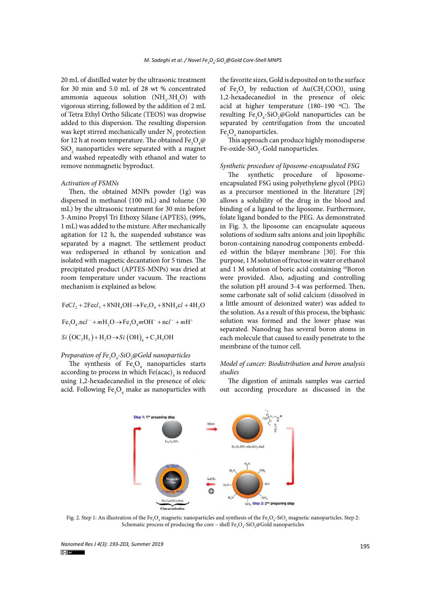20 mL of distilled water by the ultrasonic treatment for 30 min and 5.0 mL of 28 wt % concentrated ammonia aqueous solution  $(NH<sub>3</sub>.3H<sub>2</sub>O)$  with vigorous stirring, followed by the addition of 2 mL of Tetra Ethyl Ortho Silicate (TEOS) was dropwise added to this dispersion. The resulting dispersion was kept stirred mechanically under  $\mathrm{N}_\mathrm{2}$  protection for 12 h at room temperature. The obtained  $\text{Fe}_{\text{3}}\text{O}_{\text{4}}\text{\textit{\textbf{Q}}}$  $\mathrm{SiO}_2$  nanoparticles were separated with a magnet and washed repeatedly with ethanol and water to remove nonmagnetic byproduct.

#### *Activation of FSMNs*

Then, the obtained MNPs powder (1g) was dispersed in methanol (100 mL) and toluene (30 mL) by the ultrasonic treatment for 30 min before 3-Amino Propyl Tri Ethoxy Silane (APTES), (99%, 1 mL) was added to the mixture. After mechanically agitation for 12 h, the suspended substance was separated by a magnet. The settlement product was redispersed in ethanol by sonication and isolated with magnetic decantation for 5 times. The precipitated product (APTES-MNPs) was dried at room temperature under vacuum. The reactions mechanism is explained as below.

 $FeCl_2 + 2Fecl_3 + 8NH_4OH \rightarrow Fe_3O_4 + 8NH_4cl + 4H_2O$ 

 $Fe<sub>3</sub>O<sub>4</sub>$ .ncl<sup>-</sup> +  $mH<sub>3</sub>O \rightarrow Fe<sub>3</sub>O<sub>4</sub>$  $mOH<sup>-</sup>$  + ncl<sup>-</sup> +  $mH<sup>+</sup>$ 

$$
Si \left( \text{OC}_2 \text{H}_5 \right) + \text{H}_2 \text{O} \rightarrow Si \left( \text{OH} \right)_4 + \text{C}_2 \text{H}_5 \text{OH}
$$

# *Preparation of Fe3 O4 -SiO2 @Gold nanoparticles*

The synthesis of  $\text{Fe}_3\text{O}_4$  nanoparticles starts according to process in which  $\text{Fe}(\text{acac})_{_3}$  is reduced using 1,2-hexadecanediol in the presence of oleic acid. Following  $\text{Fe}_{3}\text{O}_{4}$  make as nanoparticles with the favorite sizes, Gold is deposited on to the surface of  $\text{Fe}_3\text{O}_4$  by reduction of  $\text{Au}(\text{CH}_3\text{COO})_3$  using 1,2-hexadecanediol in the presence of oleic acid at higher temperature (180–190 ºC). The resulting  $Fe_{3}O_{4}$ -SiO<sub>2</sub>@Gold nanoparticles can be separated by centrifugation from the uncoated  $\text{Fe}_3\text{O}_4$  nanoparticles.

This approach can produce highly monodisperse Fe-oxide-SiO<sub>2</sub>-Gold nanoparticles.

#### *Synthetic procedure of liposome-encapsulated FSG*

The synthetic procedure of liposomeencapsulated FSG using polyethylene glycol (PEG) as a precursor mentioned in the literature [29] allows a solubility of the drug in the blood and binding of a ligand to the liposome. Furthermore, folate ligand bonded to the PEG. As demonstrated in Fig. 3, the liposome can encapsulate aqueous solutions of sodium salts anions and join lipophilic boron-containing nanodrug components embedded within the bilayer membrane [30]. For this purpose, 1 M solution of fructose in water or ethanol and 1 M solution of boric acid containing <sup>10</sup>Boron were provided. Also, adjusting and controlling the solution pH around 3-4 was performed. Then, some carbonate salt of solid calcium (dissolved in a little amount of deionized water) was added to the solution. As a result of this process, the biphasic solution was formed and the lower phase was separated. Nanodrug has several boron atoms in each molecule that caused to easily penetrate to the membrane of the tumor cell.

# *Model of cancer: Biodistribution and boron analysis studies*

The digestion of animals samples was carried out according procedure as discussed in the



Fig. 2. Step 1: An illustration of the Fe<sub>3</sub>O<sub>4</sub> magnetic nanoparticles and synthesis of the Fe<sub>3</sub>O<sub>4</sub>-SiO<sub>2</sub> magnetic nanoparticles. Step 2: Schematic process of producing the core – shell  $\text{Fe}_{3}\text{O}_{4}$ -SiO<sub>2</sub>@Gold nanoparticles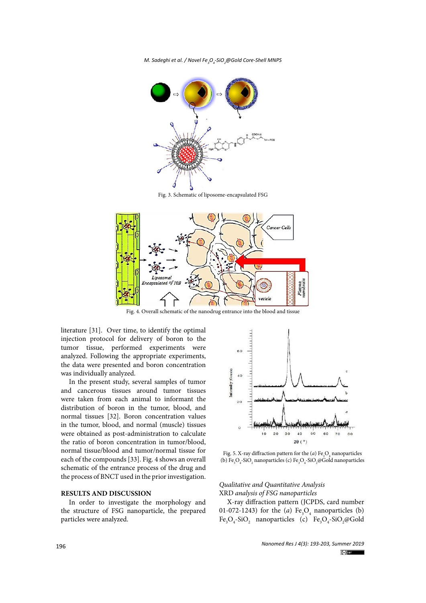*M. Sadeghi et al. / Novel Fe3 O4 -SiO2 @Gold Core-Shell MNPS*



Fig. 3. Schematic of liposome-encapsulated FSG



Fig. 4. Overall schematic of the nanodrug entrance into the blood and tissue

literature [31]. Over time, to identify the optimal injection protocol for delivery of boron to the tumor tissue, performed experiments were analyzed. Following the appropriate experiments, the data were presented and boron concentration was individually analyzed.

In the present study, several samples of tumor and cancerous tissues around tumor tissues were taken from each animal to informant the distribution of boron in the tumor, blood, and normal tissues [32]. Boron concentration values in the tumor, blood, and normal (muscle) tissues were obtained as post-administration to calculate the ratio of boron concentration in tumor/blood, normal tissue/blood and tumor/normal tissue for each of the compounds [33]. Fig. 4 shows an overall schematic of the entrance process of the drug and the process of BNCT used in the prior investigation.

#### **RESULTS AND DISCUSSION**

In order to investigate the morphology and the structure of FSG nanoparticle, the prepared particles were analyzed.



Fig. 5. X-ray diffraction pattern for the  $(a)$  Fe<sub>3</sub>O<sub>4</sub> nanoparticles (b)  $\text{Fe}_3\text{O}_4\text{-SiO}_2$  nanoparticles (c)  $\text{Fe}_3\text{O}_4\text{-SiO}_2$ @Gold nanoparticles

# *Qualitative and Quantitative Analysis* XRD *analysis of FSG nanoparticles*

X-ray diffraction pattern (JCPDS, card number 01-072-1243) for the  $(a)$  Fe<sub>3</sub>O<sub>4</sub> nanoparticles (b)  $Fe<sub>3</sub>O<sub>4</sub>$ -SiO<sub>2</sub> nanoparticles (c)  $Fe<sub>3</sub>O<sub>4</sub>$ -SiO<sub>2</sub>@Gold

> *Nanomed Res J 4(3): 193-203, Summer 2019*  $(c)$  DY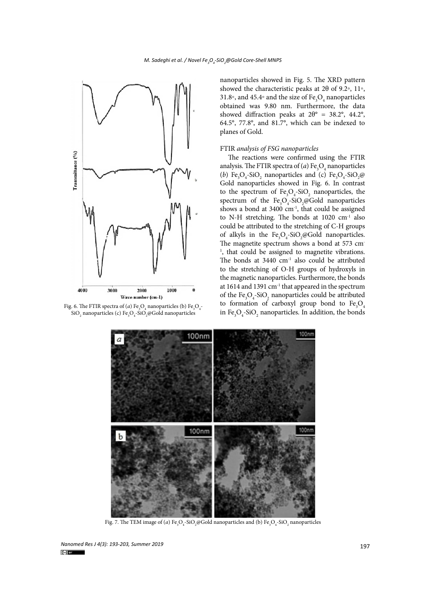

 $O_4$  nanoparticles (b)  $Fe_3O_4$ - $\rm SiO_{_2}$  nanoparticles (c)  $\rm Fe_{_3}O_{_4}\text{-}SiO_{_2}$ @Gold nanoparticles

nanoparticles showed in Fig. 5. The XRD pattern showed the characteristic peaks at  $2\theta$  of 9.2°, 11°, 31.8∘, and 45.4∘ and the size of  $\mathrm{Fe}_3\mathrm{O}_4$  nanoparticles obtained was 9.80 nm. Furthermore, the data showed diffraction peaks at  $2\theta$ ° = 38.2°, 44.2°, 64.5°, 77.8°, and 81.7°, which can be indexed to planes of Gold.

### FTIR *analysis of FSG nanoparticles*

The reactions were confirmed using the FTIR analysis. The FTIR spectra of  $(a)$  Fe<sub>3</sub>O<sub>4</sub> nanoparticles (*b*)  $\text{Fe}_3\text{O}_4\text{-SiO}_2$  nanoparticles and (*c*)  $\text{Fe}_3\text{O}_4\text{-SiO}_2$ @ Gold nanoparticles showed in Fig. 6. In contrast to the spectrum of  $Fe<sub>3</sub>O<sub>4</sub>$ -SiO<sub>2</sub> nanoparticles, the spectrum of the  $Fe<sub>3</sub>O<sub>4</sub>$ -SiO<sub>2</sub>@Gold nanoparticles shows a bond at  $3400 \text{ cm}^{-1}$ , that could be assigned to N-H stretching. The bonds at 1020 cm<sup>-1</sup> also could be attributed to the stretching of C-H groups of alkyls in the  $Fe<sub>3</sub>O<sub>4</sub>$ -SiO<sub>2</sub>@Gold nanoparticles. The magnetite spectrum shows a bond at 573 cm-<sup>1</sup>, that could be assigned to magnetite vibrations. The bonds at  $3440 \text{ cm}^{-1}$  also could be attributed to the stretching of O-H groups of hydroxyls in the magnetic nanoparticles. Furthermore, the bonds at 1614 and 1391 cm-1 that appeared in the spectrum of the  $\text{Fe}_{3}\text{O}_{4}$ -SiO<sub>2</sub> nanoparticles could be attributed to formation of carboxyl group bond to  $Fe<sub>3</sub>O<sub>4</sub>$ Fig. 6. The FTIR spectra of (*a*) Fe<sub>3</sub>O<sub>4</sub> nanoparticles (b) Fe<sub>3</sub>O<sub>4</sub> to 101 matriori of carboxyl group bond to  $r_{\rm s}$ O<sub>4</sub> SiO<sub>2</sub> nanoparticles (*c*) Fe<sub>3</sub>O<sub>4</sub> SiO<sub>2</sub> manoparticles. In addition, the bonds



Fig. 7. The TEM image of (*a*) Fe<sub>3</sub>O<sub>4</sub>-SiO<sub>2</sub>@Gold nanoparticles and (b) Fe<sub>3</sub>O<sub>4</sub>-SiO<sub>2</sub> nanoparticles

<sup>197</sup> *Nanomed Res J 4(3): 193-203, Summer 2019*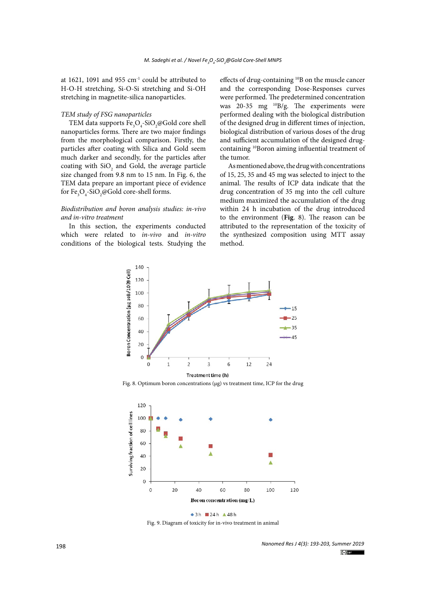at 1621, 1091 and 955  $cm<sup>-1</sup>$  could be attributed to H-O-H stretching, Si-O-Si stretching and Si-OH stretching in magnetite-silica nanoparticles.

#### *TEM study of FSG nanoparticles*

TEM data supports  $\text{Fe}_{3}\text{O}_{4}$ -SiO<sub>2</sub>@Gold core shell nanoparticles forms. There are two major findings from the morphological comparison. Firstly, the particles after coating with Silica and Gold seem much darker and secondly, for the particles after coating with  $SiO_2$  and Gold, the average particle size changed from 9.8 nm to 15 nm. In Fig. 6, the TEM data prepare an important piece of evidence for Fe<sub>3</sub>O<sub>4</sub>-SiO<sub>2</sub>@Gold core-shell forms.

# *Biodistribution and boron analysis studies: in-vivo and in-vitro treatment*

In this section, the experiments conducted which were related to *in-vivo* and *in-vitro* conditions of the biological tests. Studying the effects of drug-containing 10B on the muscle cancer and the corresponding Dose-Responses curves were performed. The predetermined concentration was  $20-35$  mg  $\frac{10}{9}$ g. The experiments were performed dealing with the biological distribution of the designed drug in different times of injection, biological distribution of various doses of the drug and sufficient accumulation of the designed drugcontaining 10Boron aiming influential treatment of the tumor.

As mentioned above, the drug with concentrations of 15, 25, 35 and 45 mg was selected to inject to the animal. The results of ICP data indicate that the drug concentration of 35 mg into the cell culture medium maximized the accumulation of the drug within 24 h incubation of the drug introduced to the environment (**Fig**. 8). The reason can be attributed to the representation of the toxicity of the synthesized composition using MTT assay method.



Fig. 8. Optimum boron concentrations (µg) vs treatment time, ICP for the drug



Fig. 9. Diagram of toxicity for in-vivo treatment in animal

*Nanomed Res J 4(3): 193-203, Summer 2019*  $\left(\text{cc}\right)$  BY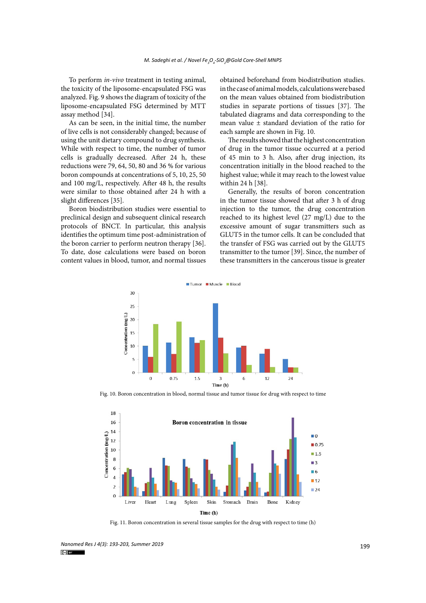To perform *in-vivo* treatment in testing animal, the toxicity of the liposome-encapsulated FSG was analyzed. Fig. 9 shows the diagram of toxicity of the liposome-encapsulated FSG determined by MTT assay method [34].

As can be seen, in the initial time, the number of live cells is not considerably changed; because of using the unit dietary compound to drug synthesis. While with respect to time, the number of tumor cells is gradually decreased. After 24 h, these reductions were 79, 64, 50, 80 and 36 % for various boron compounds at concentrations of 5, 10, 25, 50 and 100 mg/L, respectively. After 48 h, the results were similar to those obtained after 24 h with a slight differences [35].

Boron biodistribution studies were essential to preclinical design and subsequent clinical research protocols of BNCT. In particular, this analysis identifies the optimum time post-administration of the boron carrier to perform neutron therapy [36]. To date, dose calculations were based on boron content values in blood, tumor, and normal tissues

obtained beforehand from biodistribution studies. in the case of animal models, calculations were based on the mean values obtained from biodistribution studies in separate portions of tissues [37]. The tabulated diagrams and data corresponding to the mean value ± standard deviation of the ratio for each sample are shown in Fig. 10.

The results showed that the highest concentration of drug in the tumor tissue occurred at a period of 45 min to 3 h. Also, after drug injection, its concentration initially in the blood reached to the highest value; while it may reach to the lowest value within 24 h [38].

Generally, the results of boron concentration in the tumor tissue showed that after 3 h of drug injection to the tumor, the drug concentration reached to its highest level (27 mg/L) due to the excessive amount of sugar transmitters such as GLUT5 in the tumor cells. It can be concluded that the transfer of FSG was carried out by the GLUT5 transmitter to the tumor [39]. Since, the number of these transmitters in the cancerous tissue is greater



Fig. 10. Boron concentration in blood, normal tissue and tumor tissue for drug with respect to time



Fig. 11. Boron concentration in several tissue samples for the drug with respect to time (h)

<sup>199</sup> *Nanomed Res J 4(3): 193-203, Summer 2019*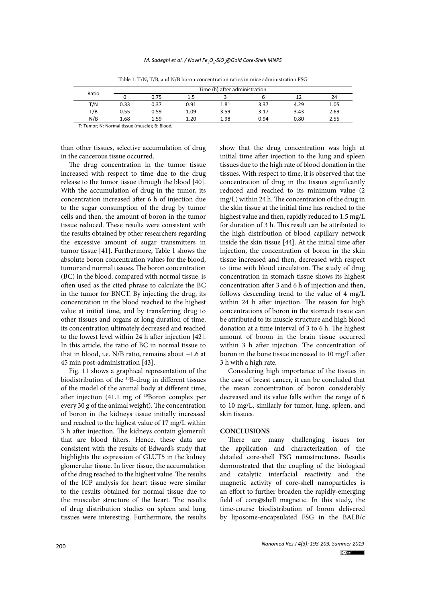| Ratio           | Time (h) after administration |          |      |      |      |      |      |
|-----------------|-------------------------------|----------|------|------|------|------|------|
|                 |                               | 0.75     | 1.5  |      |      |      | 24   |
| T/N             | 0.33                          | 0.37     | 0.91 | 1.81 | 3.37 | 4.29 | 1.05 |
| T/B             | 0.55                          | 0.59     | 1.09 | 3.59 | 3.17 | 3.43 | 2.69 |
| N/B             | 1.68                          | 1.59     | 1.20 | 1.98 | 0.94 | 0.80 | 2.55 |
| $\cdots$<br>- - | $\cdots$                      | $\cdots$ |      |      |      |      |      |

Table 1. T/N, T/B, and N/B boron concentration ratios in mice administration FSG

T: Tumor; N: Normal tissue (muscle); B: Blood;

than other tissues, selective accumulation of drug in the cancerous tissue occurred.

The drug concentration in the tumor tissue increased with respect to time due to the drug release to the tumor tissue through the blood [40]. With the accumulation of drug in the tumor, its concentration increased after 6 h of injection due to the sugar consumption of the drug by tumor cells and then, the amount of boron in the tumor tissue reduced. These results were consistent with the results obtained by other researchers regarding the excessive amount of sugar transmitters in tumor tissue [41]. Furthermore, Table 1 shows the absolute boron concentration values for the blood, tumor and normal tissues. The boron concentration (BC) in the blood, compared with normal tissue, is often used as the cited phrase to calculate the BC in the tumor for BNCT. By injecting the drug, its concentration in the blood reached to the highest value at initial time, and by transferring drug to other tissues and organs at long duration of time, its concentration ultimately decreased and reached to the lowest level within 24 h after injection [42]. In this article, the ratio of BC in normal tissue to that in blood, i.e.  $N/B$  ratio, remains about  $\sim$ 1.6 at 45 min post-administration [43].

Fig. 11 shows a graphical representation of the biodistribution of the <sup>10</sup>B-drug in different tissues of the model of the animal body at different time, after injection  $(41.1 \text{ mg of }^{10}\text{Boron complex per})$ every 30 g of the animal weight). The concentration of boron in the kidneys tissue initially increased and reached to the highest value of 17 mg/L within 3 h after injection. The kidneys contain glomeruli that are blood filters. Hence, these data are consistent with the results of Edward's study that highlights the expression of GLUT5 in the kidney glomerular tissue. In liver tissue, the accumulation of the drug reached to the highest value. The results of the ICP analysis for heart tissue were similar to the results obtained for normal tissue due to the muscular structure of the heart. The results of drug distribution studies on spleen and lung tissues were interesting. Furthermore, the results

show that the drug concentration was high at initial time after injection to the lung and spleen tissues due to the high rate of blood donation in the tissues. With respect to time, it is observed that the concentration of drug in the tissues significantly reduced and reached to its minimum value (2 mg/L) within 24 h. The concentration of the drug in the skin tissue at the initial time has reached to the highest value and then, rapidly reduced to 1.5 mg/L for duration of 3 h. This result can be attributed to the high distribution of blood capillary network inside the skin tissue [44]. At the initial time after injection, the concentration of boron in the skin tissue increased and then, decreased with respect to time with blood circulation. The study of drug concentration in stomach tissue shows its highest concentration after 3 and 6 h of injection and then, follows descending trend to the value of 4 mg/L within 24 h after injection. The reason for high concentrations of boron in the stomach tissue can be attributed to its muscle structure and high blood donation at a time interval of 3 to 6 h. The highest amount of boron in the brain tissue occurred within 3 h after injection. The concentration of boron in the bone tissue increased to 10 mg/L after 3 h with a high rate.

Considering high importance of the tissues in the case of breast cancer, it can be concluded that the mean concentration of boron considerably decreased and its value falls within the range of 6 to 10 mg/L, similarly for tumor, lung, spleen, and skin tissues.

### **CONCLUSIONS**

There are many challenging issues for the application and characterization of the detailed core-shell FSG nanostructures. Results demonstrated that the coupling of the biological and catalytic interfacial reactivity and the magnetic activity of core-shell nanoparticles is an effort to further broaden the rapidly-emerging field of core@shell magnetic. In this study, the time-course biodistribution of boron delivered by liposome-encapsulated FSG in the BALB/c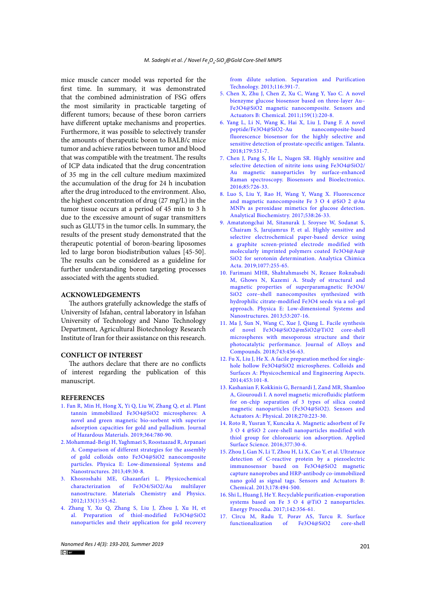mice muscle cancer model was reported for the first time. In summary, it was demonstrated that the combined administration of FSG offers the most similarity in practicable targeting of different tumors; because of these boron carriers have different uptake mechanisms and properties. Furthermore, it was possible to selectively transfer the amounts of therapeutic boron to BALB/c mice tumor and achieve ratios between tumor and blood that was compatible with the treatment. The results of ICP data indicated that the drug concentration of 35 mg in the cell culture medium maximized the accumulation of the drug for 24 h incubation after the drug introduced to the environment. Also, the highest concentration of drug (27 mg/L) in the tumor tissue occurs at a period of 45 min to 3 h due to the excessive amount of sugar transmitters such as GLUT5 in the tumor cells. In summary, the results of the present study demonstrated that the therapeutic potential of boron-bearing liposomes led to large boron biodistribution values [45-50]. The results can be considered as a guideline for further understanding boron targeting processes associated with the agents studied.

# **ACKNOWLEDGEMENTS**

The authors gratefully acknowledge the staffs of University of Isfahan, central laboratory in Isfahan University of Technology and Nano Technology Department, Agricultural Biotechnology Research Institute of Iran for their assistance on this research.

## **CONFLICT OF INTEREST**

The authors declare that there are no conflicts of interest regarding the publication of this manuscript.

# **REFERENCES**

- 1. [Fan R, Min H, Hong X, Yi Q, Liu W, Zhang Q, et al. Plant](http://dx.doi.org/10.1016/j.jhazmat.2018.05.061)  [tannin immobilized Fe3O4@SiO2 microspheres: A](http://dx.doi.org/10.1016/j.jhazmat.2018.05.061)  [novel and green magnetic bio-sorbent with superior](http://dx.doi.org/10.1016/j.jhazmat.2018.05.061)  [adsorption capacities for gold and palladium. Journal](http://dx.doi.org/10.1016/j.jhazmat.2018.05.061)  [of Hazardous Materials. 2019;364:780-90.](http://dx.doi.org/10.1016/j.jhazmat.2018.05.061)
- 2. [Mohammad-Beigi H, Yaghmaei S, Roostaazad R, Arpanaei](http://dx.doi.org/10.1016/j.physe.2013.01.004)  [A. Comparison of different strategies for the assembly](http://dx.doi.org/10.1016/j.physe.2013.01.004)  [of gold colloids onto Fe3O4@SiO2 nanocomposite](http://dx.doi.org/10.1016/j.physe.2013.01.004)  [particles. Physica E: Low-dimensional Systems and](http://dx.doi.org/10.1016/j.physe.2013.01.004)  [Nanostructures. 2013;49:30-8.](http://dx.doi.org/10.1016/j.physe.2013.01.004)
- 3. [Khosroshahi ME, Ghazanfari L. Physicochemical](http://dx.doi.org/10.1016/j.matchemphys.2011.12.047)  [characterization of Fe3O4/SiO2/Au multilayer](http://dx.doi.org/10.1016/j.matchemphys.2011.12.047)  [nanostructure. Materials Chemistry and Physics.](http://dx.doi.org/10.1016/j.matchemphys.2011.12.047)  [2012;133\(1\):55-62.](http://dx.doi.org/10.1016/j.matchemphys.2011.12.047)
- 4. [Zhang Y, Xu Q, Zhang S, Liu J, Zhou J, Xu H, et](http://dx.doi.org/10.1016/j.seppur.2013.06.018)  [al. Preparation of thiol-modified Fe3O4@SiO2](http://dx.doi.org/10.1016/j.seppur.2013.06.018)  [nanoparticles and their application for gold recovery](http://dx.doi.org/10.1016/j.seppur.2013.06.018)

[from dilute solution. Separation and Purification](http://dx.doi.org/10.1016/j.seppur.2013.06.018) [Technology. 2013;116:391-7.](http://dx.doi.org/10.1016/j.seppur.2013.06.018)

- 5. [Chen X, Zhu J, Chen Z, Xu C, Wang Y, Yao C. A novel](http://dx.doi.org/10.1016/j.snb.2011.06.076) [bienzyme glucose biosensor based on three-layer Au–](http://dx.doi.org/10.1016/j.snb.2011.06.076) [Fe3O4@SiO2 magnetic nanocomposite. Sensors and](http://dx.doi.org/10.1016/j.snb.2011.06.076) [Actuators B: Chemical. 2011;159\(1\):220-8.](http://dx.doi.org/10.1016/j.snb.2011.06.076)
- 6. [Yang L, Li N, Wang K, Hai X, Liu J, Dang F. A novel](http://dx.doi.org/10.1016/j.talanta.2017.11.033) peptide/Fe3O4@SiO2-Au [fluorescence biosensor for the highly selective and](http://dx.doi.org/10.1016/j.talanta.2017.11.033) [sensitive detection of prostate-specific antigen. Talanta.](http://dx.doi.org/10.1016/j.talanta.2017.11.033) [2018;179:531-7.](http://dx.doi.org/10.1016/j.talanta.2017.11.033)
- 7. [Chen J, Pang S, He L, Nugen SR. Highly sensitive and](http://dx.doi.org/10.1016/j.bios.2016.05.068) [selective detection of nitrite ions using Fe3O4@SiO2/](http://dx.doi.org/10.1016/j.bios.2016.05.068) [Au magnetic nanoparticles by surface-enhanced](http://dx.doi.org/10.1016/j.bios.2016.05.068) [Raman spectroscopy. Biosensors and Bioelectronics.](http://dx.doi.org/10.1016/j.bios.2016.05.068) [2016;85:726-33.](http://dx.doi.org/10.1016/j.bios.2016.05.068)
- 8. [Luo S, Liu Y, Rao H, Wang Y, Wang X. Fluorescence](http://dx.doi.org/10.1016/j.ab.2017.09.006) [and magnetic nanocomposite Fe 3 O 4 @SiO 2 @Au](http://dx.doi.org/10.1016/j.ab.2017.09.006) [MNPs as peroxidase mimetics for glucose detection.](http://dx.doi.org/10.1016/j.ab.2017.09.006) [Analytical Biochemistry. 2017;538:26-33.](http://dx.doi.org/10.1016/j.ab.2017.09.006)
- 9. [Amatatongchai M, Sitanurak J, Sroysee W, Sodanat S,](http://dx.doi.org/10.1016/j.aca.2019.05.047) [Chairam S, Jarujamrus P, et al. Highly sensitive and](http://dx.doi.org/10.1016/j.aca.2019.05.047) [selective electrochemical paper-based device using](http://dx.doi.org/10.1016/j.aca.2019.05.047) [a graphite screen-printed electrode modified with](http://dx.doi.org/10.1016/j.aca.2019.05.047) [molecularly imprinted polymers coated Fe3O4@Au@](http://dx.doi.org/10.1016/j.aca.2019.05.047) [SiO2 for serotonin determination. Analytica Chimica](http://dx.doi.org/10.1016/j.aca.2019.05.047) Acta. 2019:1077:255-65.
- 10. [Farimani MHR, Shahtahmasebi N, Rezaee Roknabadi](http://dx.doi.org/10.1016/j.physe.2013.04.032) [M, Ghows N, Kazemi A. Study of structural and](http://dx.doi.org/10.1016/j.physe.2013.04.032) [magnetic properties of superparamagnetic Fe3O4/](http://dx.doi.org/10.1016/j.physe.2013.04.032) [SiO2 core–shell nanocomposites synthesized with](http://dx.doi.org/10.1016/j.physe.2013.04.032) [hydrophilic citrate-modified Fe3O4 seeds via a sol–gel](http://dx.doi.org/10.1016/j.physe.2013.04.032) [approach. Physica E: Low-dimensional Systems and](http://dx.doi.org/10.1016/j.physe.2013.04.032) [Nanostructures. 2013;53:207-16.](http://dx.doi.org/10.1016/j.physe.2013.04.032)
- 11. [Ma J, Sun N, Wang C, Xue J, Qiang L. Facile synthesis](http://dx.doi.org/10.1016/j.jallcom.2018.02.005) [of novel Fe3O4@SiO2@mSiO2@TiO2 core-shell](http://dx.doi.org/10.1016/j.jallcom.2018.02.005) [microspheres with mesoporous structure and their](http://dx.doi.org/10.1016/j.jallcom.2018.02.005) [photocatalytic performance. Journal of Alloys and](http://dx.doi.org/10.1016/j.jallcom.2018.02.005) [Compounds. 2018;743:456-63.](http://dx.doi.org/10.1016/j.jallcom.2018.02.005)
- 12. [Fu X, Liu J, He X. A facile preparation method for single](http://dx.doi.org/10.1016/j.colsurfa.2014.03.108)[hole hollow Fe3O4@SiO2 microspheres. Colloids and](http://dx.doi.org/10.1016/j.colsurfa.2014.03.108) [Surfaces A: Physicochemical and Engineering Aspects.](http://dx.doi.org/10.1016/j.colsurfa.2014.03.108) [2014;453:101-8.](http://dx.doi.org/10.1016/j.colsurfa.2014.03.108)
- 13. [Kashanian F, Kokkinis G, Bernardi J, Zand MR, Shamloo](http://dx.doi.org/10.1016/j.sna.2017.12.047) [A, Giouroudi I. A novel magnetic microfluidic platform](http://dx.doi.org/10.1016/j.sna.2017.12.047) [for on-chip separation of 3 types of silica coated](http://dx.doi.org/10.1016/j.sna.2017.12.047) [magnetic nanoparticles \(Fe3O4@SiO2\). Sensors and](http://dx.doi.org/10.1016/j.sna.2017.12.047) [Actuators A: Physical. 2018;270:223-30.](http://dx.doi.org/10.1016/j.sna.2017.12.047)
- 14. [Roto R, Yusran Y, Kuncaka A. Magnetic adsorbent of Fe](http://dx.doi.org/10.1016/j.apsusc.2016.03.099) [3 O 4 @SiO 2 core-shell nanoparticles modified with](http://dx.doi.org/10.1016/j.apsusc.2016.03.099) [thiol group for chloroauric ion adsorption. Applied](http://dx.doi.org/10.1016/j.apsusc.2016.03.099) [Surface Science. 2016;377:30-6.](http://dx.doi.org/10.1016/j.apsusc.2016.03.099)
- 15. [Zhou J, Gan N, Li T, Zhou H, Li X, Cao Y, et al. Ultratrace](http://dx.doi.org/10.1016/j.snb.2013.01.013) [detection of C-reactive protein by a piezoelectric](http://dx.doi.org/10.1016/j.snb.2013.01.013) [immunosensor based on Fe3O4@SiO2 magnetic](http://dx.doi.org/10.1016/j.snb.2013.01.013) [capture nanoprobes and HRP-antibody co-immobilized](http://dx.doi.org/10.1016/j.snb.2013.01.013) [nano gold as signal tags. Sensors and Actuators B:](http://dx.doi.org/10.1016/j.snb.2013.01.013) [Chemical. 2013;178:494-500.](http://dx.doi.org/10.1016/j.snb.2013.01.013)
- 16. [Shi L, Huang J, He Y. Recyclable purification-evaporation](http://dx.doi.org/10.1016/j.egypro.2017.12.056) [systems based on Fe 3 O 4 @TiO 2 nanoparticles.](http://dx.doi.org/10.1016/j.egypro.2017.12.056) [Energy Procedia. 2017;142:356-61.](http://dx.doi.org/10.1016/j.egypro.2017.12.056)
- 17. [Cîrcu M, Radu T, Porav AS, Turcu R. Surface](http://dx.doi.org/10.1016/j.apsusc.2018.05.096) [functionalization of Fe3O4@SiO2 core-shell](http://dx.doi.org/10.1016/j.apsusc.2018.05.096)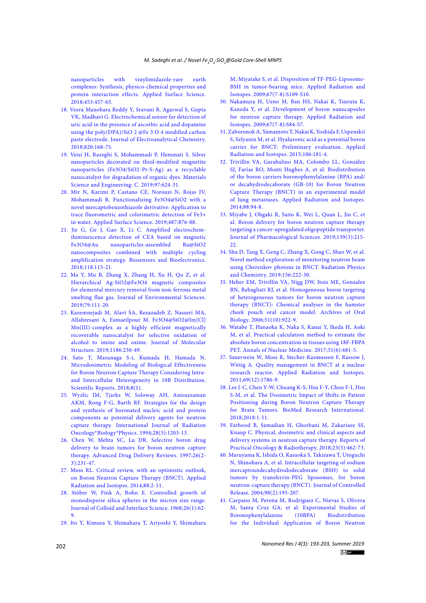[nanoparticles with vinylimidazole-rare earth](http://dx.doi.org/10.1016/j.apsusc.2018.05.096)  [complexes: Synthesis, physico-chemical properties and](http://dx.doi.org/10.1016/j.apsusc.2018.05.096)  [protein interaction effects. Applied Surface Science.](http://dx.doi.org/10.1016/j.apsusc.2018.05.096)  [2018;453:457-63.](http://dx.doi.org/10.1016/j.apsusc.2018.05.096)

- 18. [Veera Manohara Reddy Y, Sravani B, Agarwal S, Gupta](http://dx.doi.org/10.1016/j.jelechem.2018.04.059)  [VK, Madhavi G. Electrochemical sensor for detection of](http://dx.doi.org/10.1016/j.jelechem.2018.04.059)  [uric acid in the presence of ascorbic acid and dopamine](http://dx.doi.org/10.1016/j.jelechem.2018.04.059)  [using the poly\(DPA\)/SiO 2 @Fe 3 O 4 modified carbon](http://dx.doi.org/10.1016/j.jelechem.2018.04.059)  [paste electrode. Journal of Electroanalytical Chemistry.](http://dx.doi.org/10.1016/j.jelechem.2018.04.059)  [2018;820:168-75.](http://dx.doi.org/10.1016/j.jelechem.2018.04.059)
- 19. [Veisi H, Razeghi S, Mohammadi P, Hemmati S. Silver](http://dx.doi.org/10.1016/j.msec.2018.12.076)  [nanoparticles decorated on thiol-modified magnetite](http://dx.doi.org/10.1016/j.msec.2018.12.076)  [nanoparticles \(Fe3O4/SiO2-Pr-S-Ag\) as a recyclable](http://dx.doi.org/10.1016/j.msec.2018.12.076)  [nanocatalyst for degradation of organic dyes. Materials](http://dx.doi.org/10.1016/j.msec.2018.12.076)  [Science and Engineering: C. 2019;97:624-31.](http://dx.doi.org/10.1016/j.msec.2018.12.076)
- 20. [Mir N, Karimi P, Castano CE, Norouzi N, Rojas JV,](http://dx.doi.org/10.1016/j.apsusc.2019.05.156)  [Mohammadi R. Functionalizing Fe3O4@SiO2 with a](http://dx.doi.org/10.1016/j.apsusc.2019.05.156)  [novel mercaptobenzothiazole derivative: Application to](http://dx.doi.org/10.1016/j.apsusc.2019.05.156)  [trace fluorometric and colorimetric detection of Fe3+](http://dx.doi.org/10.1016/j.apsusc.2019.05.156)  [in water. Applied Surface Science. 2019;487:876-88.](http://dx.doi.org/10.1016/j.apsusc.2019.05.156)
- 21. [Jie G, Ge J, Gao X, Li C. Amplified electrochem](http://dx.doi.org/10.1016/j.bios.2018.07.046)[iluminescence detection of CEA based on magnetic](http://dx.doi.org/10.1016/j.bios.2018.07.046)  [Fe3O4@Au nanoparticles-assembled Ru@SiO2](http://dx.doi.org/10.1016/j.bios.2018.07.046)  [nanocomposites combined with multiple cycling](http://dx.doi.org/10.1016/j.bios.2018.07.046)  [amplification strategy. Biosensors and Bioelectronics.](http://dx.doi.org/10.1016/j.bios.2018.07.046)  [2018;118:115-21.](http://dx.doi.org/10.1016/j.bios.2018.07.046)
- 22. [Ma Y, Mu B, Zhang X, Zhang H, Xu H, Qu Z, et al.](http://dx.doi.org/10.1016/j.jes.2018.11.014)  [Hierarchical Ag-SiO2@Fe3O4 magnetic composites](http://dx.doi.org/10.1016/j.jes.2018.11.014)  [for elemental mercury removal from non-ferrous metal](http://dx.doi.org/10.1016/j.jes.2018.11.014)  [smelting flue gas. Journal of Environmental Sciences.](http://dx.doi.org/10.1016/j.jes.2018.11.014)  [2019;79:111-20.](http://dx.doi.org/10.1016/j.jes.2018.11.014)
- 23. [Kazemnejadi M, Alavi SA, Rezazadeh Z, Nasseri MA,](http://dx.doi.org/10.1016/j.molstruc.2019.03.008)  [Allahresani A, Esmaeilpour M. Fe3O4@SiO2@Im\[Cl\]](http://dx.doi.org/10.1016/j.molstruc.2019.03.008) [Mn\(III\)-complex as a highly efficient magnetically](http://dx.doi.org/10.1016/j.molstruc.2019.03.008)  [recoverable nanocatalyst for selective oxidation of](http://dx.doi.org/10.1016/j.molstruc.2019.03.008)  [alcohol to imine and oxime. Journal of Molecular](http://dx.doi.org/10.1016/j.molstruc.2019.03.008)  [Structure. 2019;1186:230-49.](http://dx.doi.org/10.1016/j.molstruc.2019.03.008)
- 24. [Sato T, Masunaga S-i, Kumada H, Hamada N.](http://dx.doi.org/10.1038/s41598-017-18871-0)  [Microdosimetric Modeling of Biological Effectiveness](http://dx.doi.org/10.1038/s41598-017-18871-0)  [for Boron Neutron Capture Therapy Considering Intra](http://dx.doi.org/10.1038/s41598-017-18871-0)[and Intercellular Heterogeneity in 10B Distribution.](http://dx.doi.org/10.1038/s41598-017-18871-0)  [Scientific Reports. 2018;8\(1\).](http://dx.doi.org/10.1038/s41598-017-18871-0)
- 25. [Wyzlic IM, Tjarks W, Soloway AH, Anisuzzaman](http://dx.doi.org/10.1016/0360-3016(94)90495-2)  [AKM, Rong F-G, Barth RF. Strategies for the design](http://dx.doi.org/10.1016/0360-3016(94)90495-2)  [and synthesis of boronated nucleic acid and protein](http://dx.doi.org/10.1016/0360-3016(94)90495-2)  [components as potential delivery agents for neutron](http://dx.doi.org/10.1016/0360-3016(94)90495-2)  [capture therapy. International Journal of Radiation](http://dx.doi.org/10.1016/0360-3016(94)90495-2)  [Oncology\\*Biology\\*Physics. 1994;28\(5\):1203-13.](http://dx.doi.org/10.1016/0360-3016(94)90495-2)
- 26. [Chen W, Mehta SC, Lu DR. Selective boron drug](http://dx.doi.org/10.1016/s0169-409x(97)00037-9)  [delivery to brain tumors for boron neutron capture](http://dx.doi.org/10.1016/s0169-409x(97)00037-9)  [therapy. Advanced Drug Delivery Reviews. 1997;26\(2-](http://dx.doi.org/10.1016/s0169-409x(97)00037-9) [3\):231-47.](http://dx.doi.org/10.1016/s0169-409x(97)00037-9)
- 27. [Moss RL. Critical review, with an optimistic outlook,](http://dx.doi.org/10.1016/j.apradiso.2013.11.109)  [on Boron Neutron Capture Therapy \(BNCT\). Applied](http://dx.doi.org/10.1016/j.apradiso.2013.11.109)  [Radiation and Isotopes. 2014;88:2-11.](http://dx.doi.org/10.1016/j.apradiso.2013.11.109)
- 28. [Stöber W, Fink A, Bohn E. Controlled growth of](http://dx.doi.org/10.1016/0021-9797(68)90272-5)  [monodisperse silica spheres in the micron size range.](http://dx.doi.org/10.1016/0021-9797(68)90272-5)  [Journal of Colloid and Interface Science. 1968;26\(1\):62-](http://dx.doi.org/10.1016/0021-9797(68)90272-5) [9.](http://dx.doi.org/10.1016/0021-9797(68)90272-5)
- 29. [Ito Y, Kimura Y, Shimahara T, Ariyoshi Y, Shimahara](http://dx.doi.org/10.1016/j.apradiso.2009.03.018)

[M, Miyatake S, et al. Disposition of TF-PEG-Liposome-](http://dx.doi.org/10.1016/j.apradiso.2009.03.018)[BSH in tumor-bearing mice. Applied Radiation and](http://dx.doi.org/10.1016/j.apradiso.2009.03.018) [Isotopes. 2009;67\(7-8\):S109-S10.](http://dx.doi.org/10.1016/j.apradiso.2009.03.018)

- 30. [Nakamura H, Ueno M, Ban HS, Nakai K, Tsuruta K,](http://dx.doi.org/10.1016/j.apradiso.2009.03.091) [Kaneda Y, et al. Development of boron nanocapsules](http://dx.doi.org/10.1016/j.apradiso.2009.03.091) [for neutron capture therapy. Applied Radiation and](http://dx.doi.org/10.1016/j.apradiso.2009.03.091) [Isotopes. 2009;67\(7-8\):S84-S7.](http://dx.doi.org/10.1016/j.apradiso.2009.03.091)
- 31. [Zaboronok A, Yamamoto T, Nakai K, Yoshida F, Uspenskii](http://dx.doi.org/10.1016/j.apradiso.2015.08.020) [S, Selyanin M, et al. Hyaluronic acid as a potential boron](http://dx.doi.org/10.1016/j.apradiso.2015.08.020) [carrier for BNCT: Preliminary evaluation. Applied](http://dx.doi.org/10.1016/j.apradiso.2015.08.020) [Radiation and Isotopes. 2015;106:181-4.](http://dx.doi.org/10.1016/j.apradiso.2015.08.020)
- 32. [Trivillin VA, Garabalino MA, Colombo LL, González](http://dx.doi.org/10.1016/j.apradiso.2013.11.115) [SJ, Farías RO, Monti Hughes A, et al. Biodistribution](http://dx.doi.org/10.1016/j.apradiso.2013.11.115) [of the boron carriers boronophenylalanine \(BPA\) and/](http://dx.doi.org/10.1016/j.apradiso.2013.11.115) [or decahydrodecaborate \(GB-10\) for Boron Neutron](http://dx.doi.org/10.1016/j.apradiso.2013.11.115) [Capture Therapy \(BNCT\) in an experimental model](http://dx.doi.org/10.1016/j.apradiso.2013.11.115) [of lung metastases. Applied Radiation and Isotopes.](http://dx.doi.org/10.1016/j.apradiso.2013.11.115) [2014;88:94-8.](http://dx.doi.org/10.1016/j.apradiso.2013.11.115)
- 33. [Miyabe J, Ohgaki R, Saito K, Wei L, Quan L, Jin C, et](http://dx.doi.org/10.1016/j.jphs.2019.01.012) [al. Boron delivery for boron neutron capture therapy](http://dx.doi.org/10.1016/j.jphs.2019.01.012) [targeting a cancer-upregulated oligopeptide transporter.](http://dx.doi.org/10.1016/j.jphs.2019.01.012) [Journal of Pharmacological Sciences. 2019;139\(3\):215-](http://dx.doi.org/10.1016/j.jphs.2019.01.012) [22.](http://dx.doi.org/10.1016/j.jphs.2019.01.012)
- 34. [Shu D, Tang X, Geng C, Zhang X, Gong C, Shao W, et al.](http://dx.doi.org/10.1016/j.radphyschem.2018.11.024) [Novel method exploration of monitoring neutron beam](http://dx.doi.org/10.1016/j.radphyschem.2018.11.024) [using Cherenkov photons in BNCT. Radiation Physics](http://dx.doi.org/10.1016/j.radphyschem.2018.11.024) [and Chemistry. 2019;156:222-30.](http://dx.doi.org/10.1016/j.radphyschem.2018.11.024)
- 35. [Heber EM, Trivillin VA, Nigg DW, Itoiz ME, Gonzalez](http://dx.doi.org/10.1016/j.archoralbio.2006.03.015) [BN, Rebagliati RJ, et al. Homogeneous boron targeting](http://dx.doi.org/10.1016/j.archoralbio.2006.03.015) [of heterogeneous tumors for boron neutron capture](http://dx.doi.org/10.1016/j.archoralbio.2006.03.015) [therapy \(BNCT\): Chemical analyses in the hamster](http://dx.doi.org/10.1016/j.archoralbio.2006.03.015) [cheek pouch oral cancer model. Archives of Oral](http://dx.doi.org/10.1016/j.archoralbio.2006.03.015) [Biology. 2006;51\(10\):922-9.](http://dx.doi.org/10.1016/j.archoralbio.2006.03.015)
- 36. [Watabe T, Hanaoka K, Naka S, Kanai Y, Ikeda H, Aoki](http://dx.doi.org/10.1007/s12149-017-1172-5) [M, et al. Practical calculation method to estimate the](http://dx.doi.org/10.1007/s12149-017-1172-5) [absolute boron concentration in tissues using 18F-FBPA](http://dx.doi.org/10.1007/s12149-017-1172-5) [PET. Annals of Nuclear Medicine. 2017;31\(6\):481-5.](http://dx.doi.org/10.1007/s12149-017-1172-5)
- 37. [Sauerwein W, Moss R, Stecher-Rasmussen F, Rassow J,](http://dx.doi.org/10.1016/j.apradiso.2011.03.011) [Wittig A. Quality management in BNCT at a nuclear](http://dx.doi.org/10.1016/j.apradiso.2011.03.011) [research reactor. Applied Radiation and Isotopes.](http://dx.doi.org/10.1016/j.apradiso.2011.03.011) [2011;69\(12\):1786-9.](http://dx.doi.org/10.1016/j.apradiso.2011.03.011)
- 38. [Lee J-C, Chen Y-W, Chuang K-S, Hsu F-Y, Chou F-I, Hsu](http://dx.doi.org/10.1155/2018/5826174) [S-M, et al. The Dosimetric Impact of Shifts in Patient](http://dx.doi.org/10.1155/2018/5826174) [Positioning during Boron Neutron Capture Therapy](http://dx.doi.org/10.1155/2018/5826174) [for Brain Tumors. BioMed Research International.](http://dx.doi.org/10.1155/2018/5826174) [2018;2018:1-11.](http://dx.doi.org/10.1155/2018/5826174)
- 39. [Farhood B, Samadian H, Ghorbani M, Zakariaee SS,](http://dx.doi.org/10.1016/j.rpor.2018.07.002) [Knaup C. Physical, dosimetric and clinical aspects and](http://dx.doi.org/10.1016/j.rpor.2018.07.002) [delivery systems in neutron capture therapy. Reports of](http://dx.doi.org/10.1016/j.rpor.2018.07.002) [Practical Oncology & Radiotherapy. 2018;23\(5\):462-73.](http://dx.doi.org/10.1016/j.rpor.2018.07.002)
- 40. [Maruyama K, Ishida O, Kasaoka S, Takizawa T, Utoguchi](http://dx.doi.org/10.1016/j.jconrel.2004.04.018) [N, Shinohara A, et al. Intracellular targeting of sodium](http://dx.doi.org/10.1016/j.jconrel.2004.04.018) [mercaptoundecahydrododecaborate \(BSH\) to solid](http://dx.doi.org/10.1016/j.jconrel.2004.04.018) [tumors by transferrin-PEG liposomes, for boron](http://dx.doi.org/10.1016/j.jconrel.2004.04.018) [neutron-capture therapy \(BNCT\). Journal of Controlled](http://dx.doi.org/10.1016/j.jconrel.2004.04.018) [Release. 2004;98\(2\):195-207.](http://dx.doi.org/10.1016/j.jconrel.2004.04.018)
- 41. [Carpano M, Perona M, Rodriguez C, Nievas S, Olivera](http://dx.doi.org/10.1016/j.ijrobp.2015.05.039) [M, Santa Cruz GA, et al. Experimental Studies of](http://dx.doi.org/10.1016/j.ijrobp.2015.05.039) Boronophenylalanine (10BPA) [for the Individual Application of Boron Neutron](http://dx.doi.org/10.1016/j.ijrobp.2015.05.039)

*Nanomed Res J 4(3): 193-203, Summer 2019*  $(cc)$  by